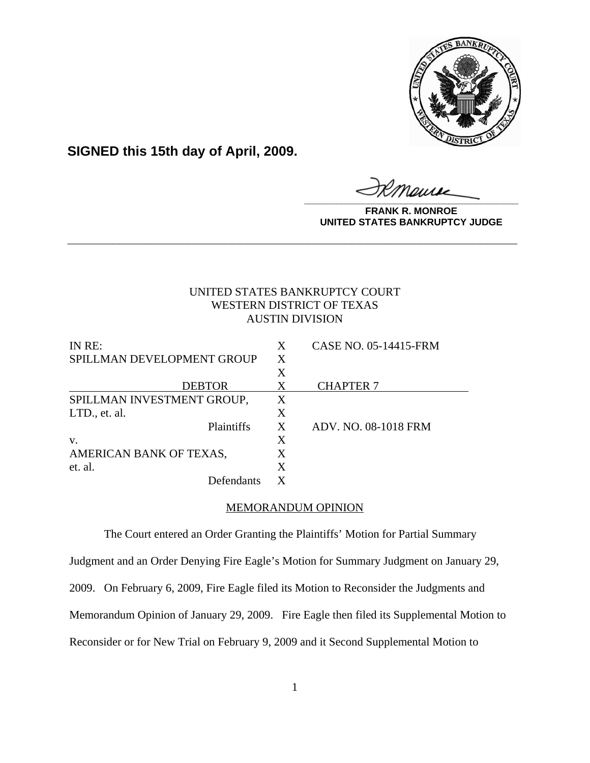

**SIGNED this 15th day of April, 2009.**

**\_\_\_\_\_\_\_\_\_\_\_\_\_\_\_\_\_\_\_\_\_\_\_\_\_\_\_\_\_\_\_\_\_\_\_\_\_\_\_\_**

**FRANK R. MONROE UNITED STATES BANKRUPTCY JUDGE**

# UNITED STATES BANKRUPTCY COURT WESTERN DISTRICT OF TEXAS AUSTIN DIVISION

**\_\_\_\_\_\_\_\_\_\_\_\_\_\_\_\_\_\_\_\_\_\_\_\_\_\_\_\_\_\_\_\_\_\_\_\_\_\_\_\_\_\_\_\_\_\_\_\_\_\_\_\_\_\_\_\_\_\_\_\_**

| IN RE:                     | X | CASE NO. 05-14415-FRM |
|----------------------------|---|-----------------------|
| SPILLMAN DEVELOPMENT GROUP | X |                       |
|                            | X |                       |
| <b>DEBTOR</b>              | X | <b>CHAPTER 7</b>      |
| SPILLMAN INVESTMENT GROUP, | Χ |                       |
| LTD., et. al.              | X |                       |
| Plaintiffs                 | X | ADV. NO. 08-1018 FRM  |
| V.                         | X |                       |
| AMERICAN BANK OF TEXAS,    | X |                       |
| et. al.                    | X |                       |
| Defendants                 | X |                       |

## MEMORANDUM OPINION

The Court entered an Order Granting the Plaintiffs' Motion for Partial Summary Judgment and an Order Denying Fire Eagle's Motion for Summary Judgment on January 29, 2009. On February 6, 2009, Fire Eagle filed its Motion to Reconsider the Judgments and Memorandum Opinion of January 29, 2009. Fire Eagle then filed its Supplemental Motion to Reconsider or for New Trial on February 9, 2009 and it Second Supplemental Motion to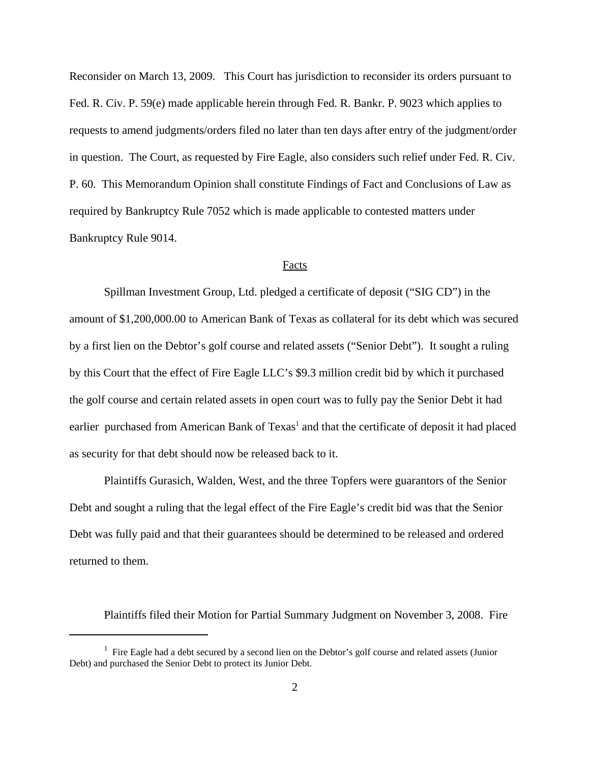Reconsider on March 13, 2009. This Court has jurisdiction to reconsider its orders pursuant to Fed. R. Civ. P. 59(e) made applicable herein through Fed. R. Bankr. P. 9023 which applies to requests to amend judgments/orders filed no later than ten days after entry of the judgment/order in question. The Court, as requested by Fire Eagle, also considers such relief under Fed. R. Civ. P. 60. This Memorandum Opinion shall constitute Findings of Fact and Conclusions of Law as required by Bankruptcy Rule 7052 which is made applicable to contested matters under Bankruptcy Rule 9014.

### Facts

Spillman Investment Group, Ltd. pledged a certificate of deposit ("SIG CD") in the amount of \$1,200,000.00 to American Bank of Texas as collateral for its debt which was secured by a first lien on the Debtor's golf course and related assets ("Senior Debt"). It sought a ruling by this Court that the effect of Fire Eagle LLC's \$9.3 million credit bid by which it purchased the golf course and certain related assets in open court was to fully pay the Senior Debt it had earlier purchased from American Bank of Texas<sup>1</sup> and that the certificate of deposit it had placed as security for that debt should now be released back to it.

Plaintiffs Gurasich, Walden, West, and the three Topfers were guarantors of the Senior Debt and sought a ruling that the legal effect of the Fire Eagle's credit bid was that the Senior Debt was fully paid and that their guarantees should be determined to be released and ordered returned to them.

Plaintiffs filed their Motion for Partial Summary Judgment on November 3, 2008. Fire

<sup>&</sup>lt;sup>1</sup> Fire Eagle had a debt secured by a second lien on the Debtor's golf course and related assets (Junior Debt) and purchased the Senior Debt to protect its Junior Debt.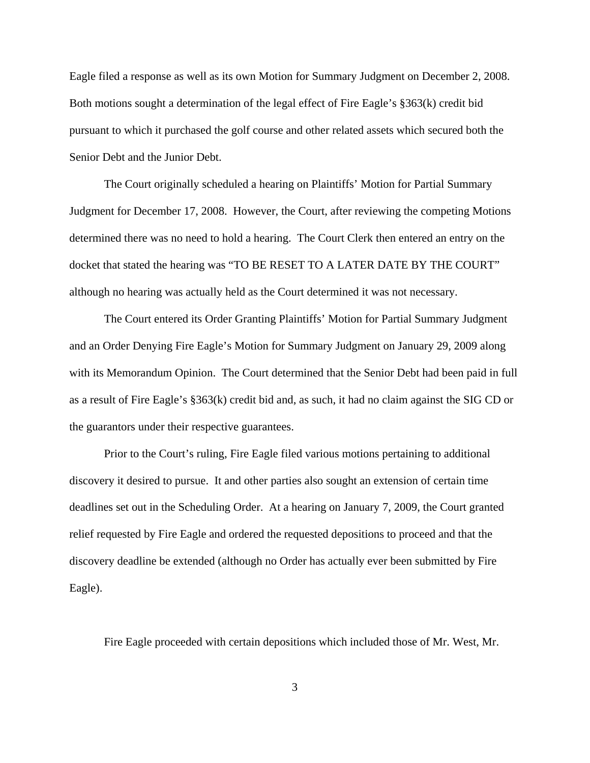Eagle filed a response as well as its own Motion for Summary Judgment on December 2, 2008. Both motions sought a determination of the legal effect of Fire Eagle's §363(k) credit bid pursuant to which it purchased the golf course and other related assets which secured both the Senior Debt and the Junior Debt.

The Court originally scheduled a hearing on Plaintiffs' Motion for Partial Summary Judgment for December 17, 2008. However, the Court, after reviewing the competing Motions determined there was no need to hold a hearing. The Court Clerk then entered an entry on the docket that stated the hearing was "TO BE RESET TO A LATER DATE BY THE COURT" although no hearing was actually held as the Court determined it was not necessary.

The Court entered its Order Granting Plaintiffs' Motion for Partial Summary Judgment and an Order Denying Fire Eagle's Motion for Summary Judgment on January 29, 2009 along with its Memorandum Opinion. The Court determined that the Senior Debt had been paid in full as a result of Fire Eagle's §363(k) credit bid and, as such, it had no claim against the SIG CD or the guarantors under their respective guarantees.

Prior to the Court's ruling, Fire Eagle filed various motions pertaining to additional discovery it desired to pursue. It and other parties also sought an extension of certain time deadlines set out in the Scheduling Order. At a hearing on January 7, 2009, the Court granted relief requested by Fire Eagle and ordered the requested depositions to proceed and that the discovery deadline be extended (although no Order has actually ever been submitted by Fire Eagle).

Fire Eagle proceeded with certain depositions which included those of Mr. West, Mr.

3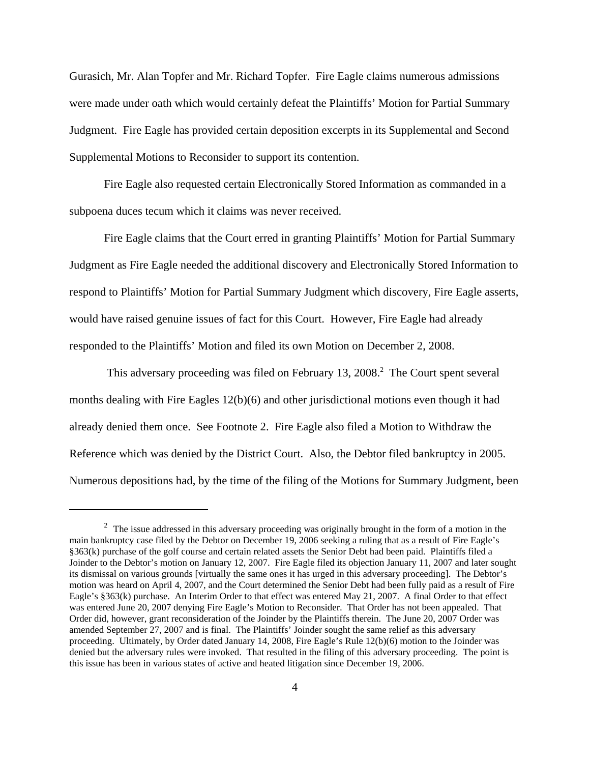Gurasich, Mr. Alan Topfer and Mr. Richard Topfer. Fire Eagle claims numerous admissions were made under oath which would certainly defeat the Plaintiffs' Motion for Partial Summary Judgment. Fire Eagle has provided certain deposition excerpts in its Supplemental and Second Supplemental Motions to Reconsider to support its contention.

Fire Eagle also requested certain Electronically Stored Information as commanded in a subpoena duces tecum which it claims was never received.

Fire Eagle claims that the Court erred in granting Plaintiffs' Motion for Partial Summary Judgment as Fire Eagle needed the additional discovery and Electronically Stored Information to respond to Plaintiffs' Motion for Partial Summary Judgment which discovery, Fire Eagle asserts, would have raised genuine issues of fact for this Court. However, Fire Eagle had already responded to the Plaintiffs' Motion and filed its own Motion on December 2, 2008.

This adversary proceeding was filed on February 13, 2008.<sup>2</sup> The Court spent several months dealing with Fire Eagles 12(b)(6) and other jurisdictional motions even though it had already denied them once. See Footnote 2. Fire Eagle also filed a Motion to Withdraw the Reference which was denied by the District Court. Also, the Debtor filed bankruptcy in 2005. Numerous depositions had, by the time of the filing of the Motions for Summary Judgment, been

 $2$  The issue addressed in this adversary proceeding was originally brought in the form of a motion in the main bankruptcy case filed by the Debtor on December 19, 2006 seeking a ruling that as a result of Fire Eagle's §363(k) purchase of the golf course and certain related assets the Senior Debt had been paid. Plaintiffs filed a Joinder to the Debtor's motion on January 12, 2007. Fire Eagle filed its objection January 11, 2007 and later sought its dismissal on various grounds [virtually the same ones it has urged in this adversary proceeding]. The Debtor's motion was heard on April 4, 2007, and the Court determined the Senior Debt had been fully paid as a result of Fire Eagle's §363(k) purchase. An Interim Order to that effect was entered May 21, 2007. A final Order to that effect was entered June 20, 2007 denying Fire Eagle's Motion to Reconsider. That Order has not been appealed. That Order did, however, grant reconsideration of the Joinder by the Plaintiffs therein. The June 20, 2007 Order was amended September 27, 2007 and is final. The Plaintiffs' Joinder sought the same relief as this adversary proceeding. Ultimately, by Order dated January 14, 2008, Fire Eagle's Rule 12(b)(6) motion to the Joinder was denied but the adversary rules were invoked. That resulted in the filing of this adversary proceeding. The point is this issue has been in various states of active and heated litigation since December 19, 2006.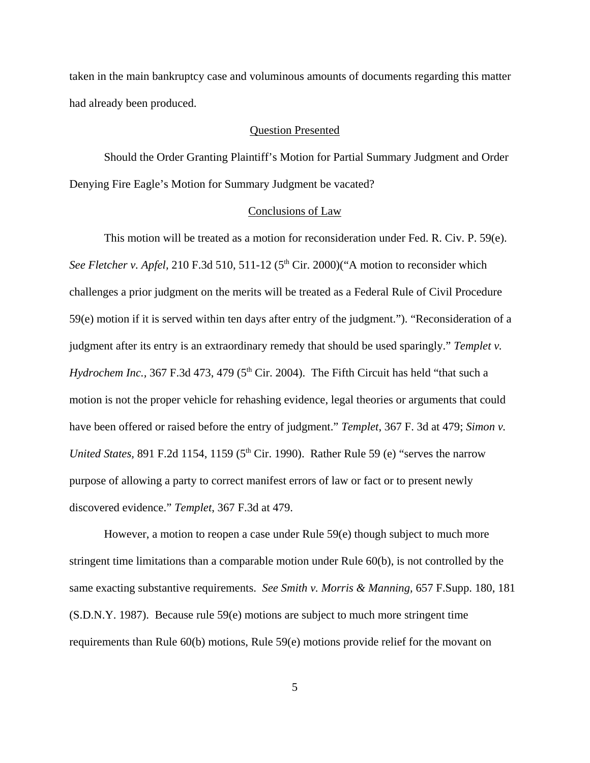taken in the main bankruptcy case and voluminous amounts of documents regarding this matter had already been produced.

#### Question Presented

Should the Order Granting Plaintiff's Motion for Partial Summary Judgment and Order Denying Fire Eagle's Motion for Summary Judgment be vacated?

#### Conclusions of Law

This motion will be treated as a motion for reconsideration under Fed. R. Civ. P. 59(e). *See Fletcher v. Apfel,* 210 F.3d 510, 511-12 (5<sup>th</sup> Cir. 2000)("A motion to reconsider which challenges a prior judgment on the merits will be treated as a Federal Rule of Civil Procedure 59(e) motion if it is served within ten days after entry of the judgment."). "Reconsideration of a judgment after its entry is an extraordinary remedy that should be used sparingly." *Templet v. Hydrochem Inc.,*  $367$  F.3d  $473$ ,  $479$  ( $5<sup>th</sup>$  Cir. 2004). The Fifth Circuit has held "that such a motion is not the proper vehicle for rehashing evidence, legal theories or arguments that could have been offered or raised before the entry of judgment." *Templet*, 367 F. 3d at 479; *Simon v. United States,* 891 F.2d 1154, 1159 ( $5<sup>th</sup>$  Cir. 1990). Rather Rule 59 (e) "serves the narrow purpose of allowing a party to correct manifest errors of law or fact or to present newly discovered evidence." *Templet*, 367 F.3d at 479.

However, a motion to reopen a case under Rule 59(e) though subject to much more stringent time limitations than a comparable motion under Rule 60(b), is not controlled by the same exacting substantive requirements. *See Smith v. Morris & Manning,* 657 F.Supp. 180, 181 (S.D.N.Y. 1987). Because rule 59(e) motions are subject to much more stringent time requirements than Rule 60(b) motions, Rule 59(e) motions provide relief for the movant on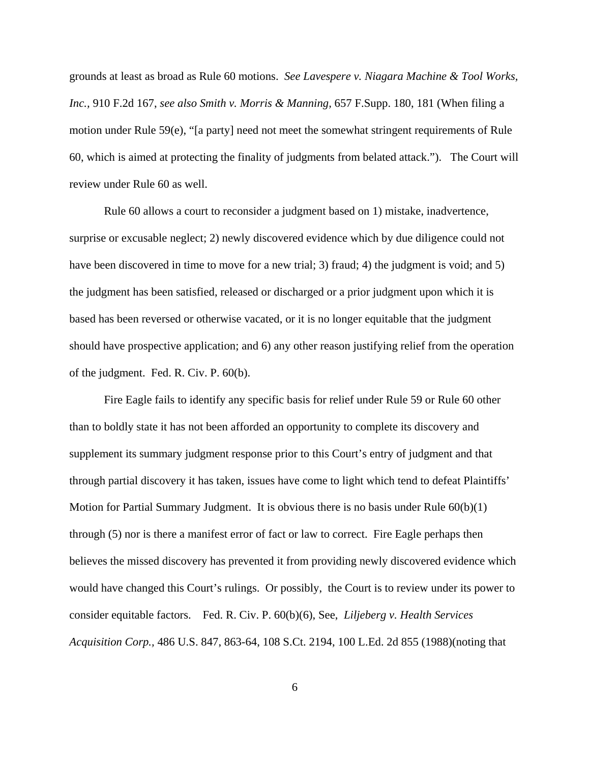grounds at least as broad as Rule 60 motions. *See Lavespere v. Niagara Machine & Tool Works, Inc.,* 910 F.2d 167, *see also Smith v. Morris & Manning,* 657 F.Supp. 180, 181 (When filing a motion under Rule 59(e), "[a party] need not meet the somewhat stringent requirements of Rule 60, which is aimed at protecting the finality of judgments from belated attack."). The Court will review under Rule 60 as well.

Rule 60 allows a court to reconsider a judgment based on 1) mistake, inadvertence, surprise or excusable neglect; 2) newly discovered evidence which by due diligence could not have been discovered in time to move for a new trial; 3) fraud; 4) the judgment is void; and 5) the judgment has been satisfied, released or discharged or a prior judgment upon which it is based has been reversed or otherwise vacated, or it is no longer equitable that the judgment should have prospective application; and 6) any other reason justifying relief from the operation of the judgment. Fed. R. Civ. P. 60(b).

Fire Eagle fails to identify any specific basis for relief under Rule 59 or Rule 60 other than to boldly state it has not been afforded an opportunity to complete its discovery and supplement its summary judgment response prior to this Court's entry of judgment and that through partial discovery it has taken, issues have come to light which tend to defeat Plaintiffs' Motion for Partial Summary Judgment. It is obvious there is no basis under Rule  $60(b)(1)$ through (5) nor is there a manifest error of fact or law to correct. Fire Eagle perhaps then believes the missed discovery has prevented it from providing newly discovered evidence which would have changed this Court's rulings. Or possibly, the Court is to review under its power to consider equitable factors. Fed. R. Civ. P. 60(b)(6), See, *Liljeberg v. Health Services Acquisition Corp.,* 486 U.S. 847, 863-64, 108 S.Ct. 2194, 100 L.Ed. 2d 855 (1988)(noting that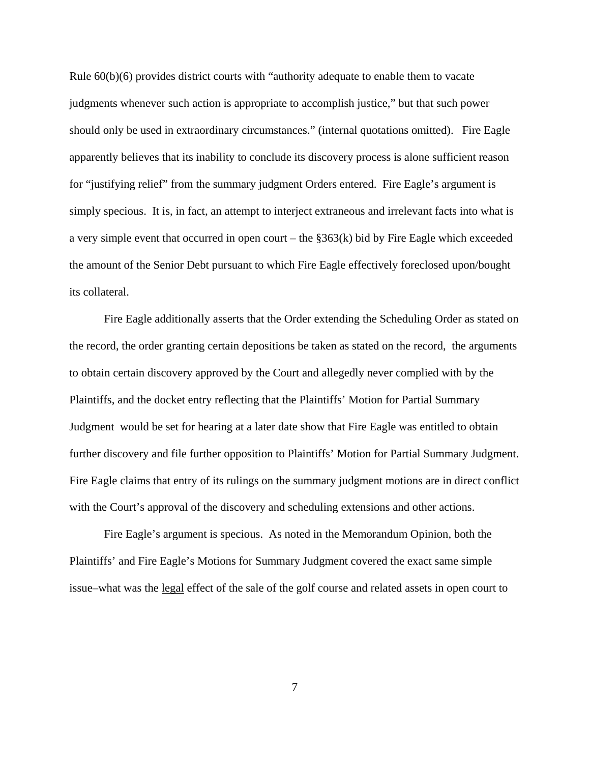Rule 60(b)(6) provides district courts with "authority adequate to enable them to vacate judgments whenever such action is appropriate to accomplish justice," but that such power should only be used in extraordinary circumstances." (internal quotations omitted). Fire Eagle apparently believes that its inability to conclude its discovery process is alone sufficient reason for "justifying relief" from the summary judgment Orders entered. Fire Eagle's argument is simply specious. It is, in fact, an attempt to interject extraneous and irrelevant facts into what is a very simple event that occurred in open court – the §363(k) bid by Fire Eagle which exceeded the amount of the Senior Debt pursuant to which Fire Eagle effectively foreclosed upon/bought its collateral.

Fire Eagle additionally asserts that the Order extending the Scheduling Order as stated on the record, the order granting certain depositions be taken as stated on the record, the arguments to obtain certain discovery approved by the Court and allegedly never complied with by the Plaintiffs, and the docket entry reflecting that the Plaintiffs' Motion for Partial Summary Judgment would be set for hearing at a later date show that Fire Eagle was entitled to obtain further discovery and file further opposition to Plaintiffs' Motion for Partial Summary Judgment. Fire Eagle claims that entry of its rulings on the summary judgment motions are in direct conflict with the Court's approval of the discovery and scheduling extensions and other actions.

Fire Eagle's argument is specious. As noted in the Memorandum Opinion, both the Plaintiffs' and Fire Eagle's Motions for Summary Judgment covered the exact same simple issue–what was the legal effect of the sale of the golf course and related assets in open court to

7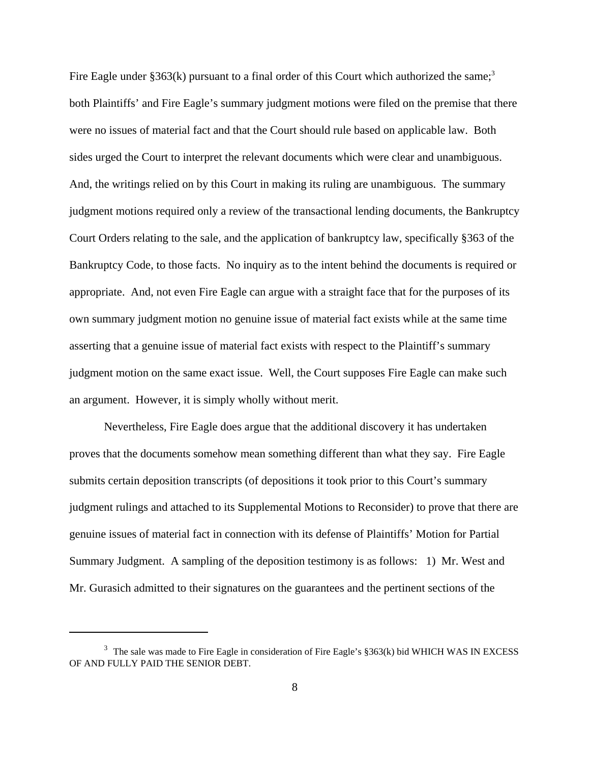Fire Eagle under  $\S 363(k)$  pursuant to a final order of this Court which authorized the same;<sup>3</sup> both Plaintiffs' and Fire Eagle's summary judgment motions were filed on the premise that there were no issues of material fact and that the Court should rule based on applicable law. Both sides urged the Court to interpret the relevant documents which were clear and unambiguous. And, the writings relied on by this Court in making its ruling are unambiguous. The summary judgment motions required only a review of the transactional lending documents, the Bankruptcy Court Orders relating to the sale, and the application of bankruptcy law, specifically §363 of the Bankruptcy Code, to those facts. No inquiry as to the intent behind the documents is required or appropriate. And, not even Fire Eagle can argue with a straight face that for the purposes of its own summary judgment motion no genuine issue of material fact exists while at the same time asserting that a genuine issue of material fact exists with respect to the Plaintiff's summary judgment motion on the same exact issue. Well, the Court supposes Fire Eagle can make such an argument. However, it is simply wholly without merit.

Nevertheless, Fire Eagle does argue that the additional discovery it has undertaken proves that the documents somehow mean something different than what they say. Fire Eagle submits certain deposition transcripts (of depositions it took prior to this Court's summary judgment rulings and attached to its Supplemental Motions to Reconsider) to prove that there are genuine issues of material fact in connection with its defense of Plaintiffs' Motion for Partial Summary Judgment. A sampling of the deposition testimony is as follows: 1) Mr. West and Mr. Gurasich admitted to their signatures on the guarantees and the pertinent sections of the

 $3$  The sale was made to Fire Eagle in consideration of Fire Eagle's §363(k) bid WHICH WAS IN EXCESS OF AND FULLY PAID THE SENIOR DEBT.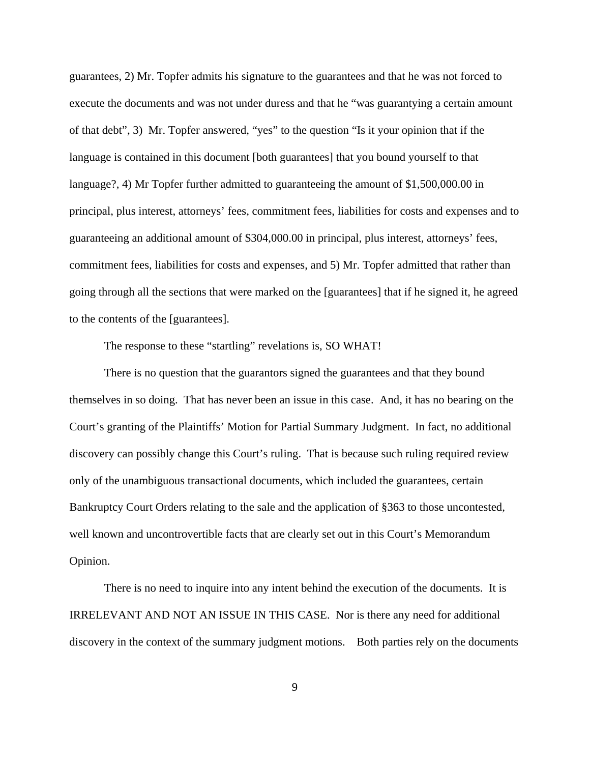guarantees, 2) Mr. Topfer admits his signature to the guarantees and that he was not forced to execute the documents and was not under duress and that he "was guarantying a certain amount of that debt", 3) Mr. Topfer answered, "yes" to the question "Is it your opinion that if the language is contained in this document [both guarantees] that you bound yourself to that language?, 4) Mr Topfer further admitted to guaranteeing the amount of \$1,500,000.00 in principal, plus interest, attorneys' fees, commitment fees, liabilities for costs and expenses and to guaranteeing an additional amount of \$304,000.00 in principal, plus interest, attorneys' fees, commitment fees, liabilities for costs and expenses, and 5) Mr. Topfer admitted that rather than going through all the sections that were marked on the [guarantees] that if he signed it, he agreed to the contents of the [guarantees].

The response to these "startling" revelations is, SO WHAT!

There is no question that the guarantors signed the guarantees and that they bound themselves in so doing. That has never been an issue in this case. And, it has no bearing on the Court's granting of the Plaintiffs' Motion for Partial Summary Judgment. In fact, no additional discovery can possibly change this Court's ruling. That is because such ruling required review only of the unambiguous transactional documents, which included the guarantees, certain Bankruptcy Court Orders relating to the sale and the application of §363 to those uncontested, well known and uncontrovertible facts that are clearly set out in this Court's Memorandum Opinion.

There is no need to inquire into any intent behind the execution of the documents. It is IRRELEVANT AND NOT AN ISSUE IN THIS CASE. Nor is there any need for additional discovery in the context of the summary judgment motions. Both parties rely on the documents

9